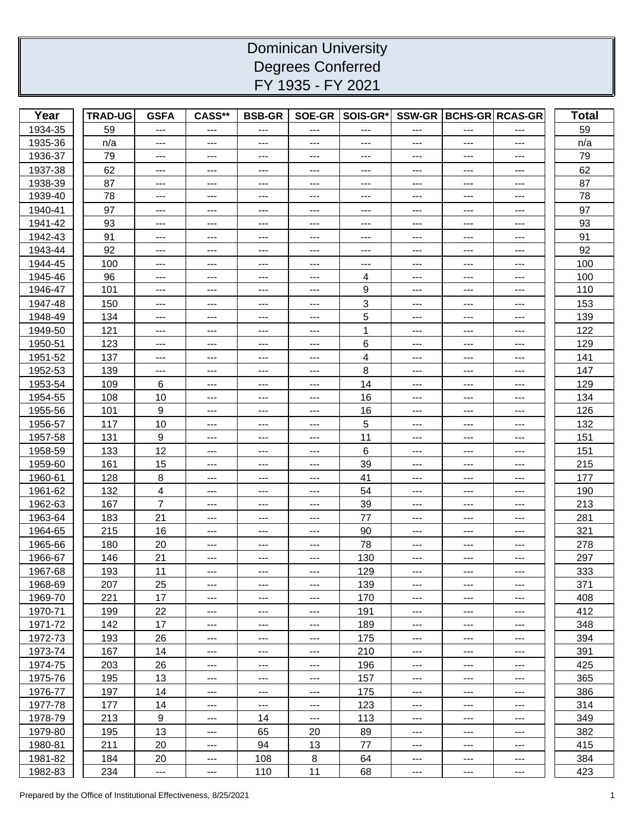## Dominican University Degrees Conferred FY 1935 - FY 2021

| Year    | <b>TRAD-UG</b> | <b>GSFA</b>            | CASS**                                  | <b>BSB-GR</b>       |                       | SOE-GR SOIS-GR*                     |                              | SSW-GR   BCHS-GR   RCAS-GR   |                              | <b>Total</b> |
|---------|----------------|------------------------|-----------------------------------------|---------------------|-----------------------|-------------------------------------|------------------------------|------------------------------|------------------------------|--------------|
| 1934-35 | 59             | ---                    | $---$                                   | ---                 | ---                   | ---                                 | $---$                        | $---$                        |                              | 59           |
| 1935-36 | n/a            | ---                    | $---$                                   | $---$               | ---                   | ---                                 | $---$                        | ---                          | $\qquad \qquad \textbf{---}$ | n/a          |
| 1936-37 | 79             | $---$                  | $---$                                   | $---$               | ---                   | ---                                 | $---$                        | $---$                        | $---$                        | 79           |
| 1937-38 | 62             | ---                    | $---$                                   | $---$               | ---                   | $---$                               | $---$                        | $---$                        | $---$                        | 62           |
| 1938-39 | 87             | ---                    | $---$                                   | $--$                | $---$                 | $---$                               | $--$                         | $--$                         | $---$                        | 87           |
| 1939-40 | 78             | $\qquad \qquad - -$    | $---$                                   | $---$               | $---$                 | $\sim$ $\sim$                       | $---$                        | $---$                        | $---$                        | 78           |
| 1940-41 | 97             | ---                    | $---$                                   | $---$               | ---                   | ---                                 | $---$                        | $---$                        | $---$                        | 97           |
| 1941-42 | 93             | $---$                  | $---$                                   | $---$               | ---                   | ---                                 | $---$                        | $---$                        | ---                          | 93           |
| 1942-43 | 91             | $---$                  | $---$                                   | $---$               | $---$                 | $\hspace{0.05cm}---\hspace{0.05cm}$ | $---$                        | $\qquad \qquad \textbf{---}$ | $\qquad \qquad \cdots$       | 91           |
| 1943-44 | 92             | $---$                  | $---$                                   | $---$               | ---                   | ---                                 | ---                          | $---$                        | ---                          | 92           |
| 1944-45 | 100            | $---$                  | $---$                                   | $---$               | ---                   | ---                                 | $---$                        | $---$                        | $---$                        | 100          |
| 1945-46 | 96             | $---$                  | $---$                                   | $---$               | $---$                 | 4                                   | $---$                        | $--$                         | $\qquad \qquad - -$          | 100          |
| 1946-47 | 101            | $---$                  | $---$                                   | $---$               | $---$                 | 9                                   | $---$                        | $--$                         | $---$                        | 110          |
| 1947-48 | 150            | $---$                  | $---$                                   | $---$               | ---                   | 3                                   | $---$                        | $---$                        | $---$                        | 153          |
| 1948-49 | 134            | $---$                  | $---$                                   | $--$                | $---$                 | 5                                   | $--$                         | ---                          | $--$                         | 139          |
| 1949-50 | 121            | $---$                  | $---$                                   | $---$               | $---$                 | 1                                   | $---$                        | $---$                        | $---$                        | 122          |
| 1950-51 | 123            | $---$                  | $---$                                   | $---$               | ---                   | 6                                   | $---$                        | $---$                        | ---                          | 129          |
| 1951-52 | 137            | ---                    | $---$                                   | $---$               | ---                   | 4                                   | $---$                        | ---                          | $---$                        | 141          |
| 1952-53 | 139            | $\qquad \qquad - -$    | $\scriptstyle{\cdots}$ .                | $---$               | $\scriptstyle \cdots$ | 8                                   | $\qquad \qquad \textbf{---}$ | $\qquad \qquad \textbf{---}$ | $---$                        | 147          |
| 1953-54 | 109            | 6                      | $--$                                    | $---$               | ---                   | 14                                  | ---                          | ---                          | $---$                        | 129          |
| 1954-55 | 108            | 10                     | $---$                                   | $---$               | ---                   | 16                                  | $---$                        | $---$                        | $---$                        | 134          |
| 1955-56 | 101            | 9                      | $---$                                   | $---$               | $---$                 | 16                                  | $---$                        | $---$                        | $---$                        | 126          |
| 1956-57 | 117            | 10                     | $---$                                   | $---$               | ---                   | 5                                   | $---$                        | $---$                        | ---                          | 132          |
| 1957-58 | 131            | 9                      | $---$                                   | $---$               | ---                   | 11                                  | $---$                        | $---$                        | $---$                        | 151          |
| 1958-59 | 133            | 12                     | $---$                                   | $--$                | $---$                 | 6                                   | $--$                         | $--$                         | $---$                        | 151          |
| 1959-60 | 161            | 15                     | $---$                                   | $---$               | $---$                 | 39                                  | $---$                        | $--$                         | $\qquad \qquad - -$          | 215          |
| 1960-61 | 128            | 8                      | $---$                                   | $---$               | ---                   | 41                                  | $---$                        | $---$                        | $---$                        | 177          |
| 1961-62 | 132            | 4                      | $---$                                   | $---$               | ---                   | 54                                  | $\qquad \qquad \textbf{---}$ | $---$                        | ---                          | 190          |
| 1962-63 | 167            | $\overline{7}$         | $---$                                   | $---$               | $---$                 | 39                                  | $\qquad \qquad \textbf{---}$ | $\qquad \qquad \textbf{---}$ | $\scriptstyle{\cdots}$       | 213          |
| 1963-64 | 183            | 21                     | $---$                                   | $---$               | ---                   | 77                                  | $---$                        | $---$                        | ---                          | 281          |
| 1964-65 | 215            | 16                     | $---$                                   | $---$               | $---$                 | 90                                  | $---$                        | $---$                        | $---$                        | 321          |
| 1965-66 | 180            | 20                     | $---$                                   | $---$               | $---$                 | 78                                  | $---$                        | $--$                         | $---$                        | 278          |
| 1966-67 | 146            | 21                     | $\hspace{0.05cm}$ - $\hspace{0.05cm}$ - | $---$               | ---                   | 130                                 | $---$                        | ---                          | ---                          | 297          |
| 1967-68 | 193            | 11                     |                                         |                     |                       | 129                                 |                              |                              |                              | 333          |
| 1968-69 | 207            | 25                     | $---$                                   | $---$               | $---$                 | 139                                 | $--$                         | ---                          | $---$                        | 371          |
| 1969-70 | 221            | 17                     | $---$                                   | $---$               | $---$                 | 170                                 | $---$                        | $---$                        | $---$                        | 408          |
| 1970-71 | 199            | 22                     | $---$                                   | $---$               | ---                   | 191                                 | $\qquad \qquad \textbf{---}$ | ---                          | $---$                        | 412          |
| 1971-72 | 142            | 17                     | $\qquad \qquad \cdots$                  | $\qquad \qquad - -$ | ---                   | 189                                 | $\qquad \qquad \textbf{---}$ | ---                          | $\qquad \qquad \cdots$       | 348          |
| 1972-73 | 193            | 26                     | $\scriptstyle\cdots$                    | $\qquad \qquad - -$ | ---                   | 175                                 | $\qquad \qquad - -$          | $---$                        | $---$                        | 394          |
| 1973-74 | 167            | 14                     | $---$                                   | $---$               | $---$                 | 210                                 | $---$                        | ---                          | ---                          | 391          |
| 1974-75 | 203            | 26                     | $---$                                   | $---$               | ---                   | 196                                 | $---$                        | ---                          | $---$                        | 425          |
| 1975-76 | 195            | 13                     | $---$                                   | $---$               | ---                   | 157                                 | $---$                        | $---$                        | $\qquad \qquad \textbf{---}$ | 365          |
| 1976-77 | 197            | 14                     | $\qquad \qquad \textbf{---}$            | $---$               | ---                   | 175                                 | $\qquad \qquad \text{---}$   | $---$                        | ---                          | 386          |
| 1977-78 | 177            | 14                     | $\qquad \qquad \textbf{---}$            | $---$               | ---                   | 123                                 | $\qquad \qquad \text{---}$   | $---$                        | $---$                        | 314          |
| 1978-79 | 213            | 9                      | $---$                                   | 14                  | ---                   | 113                                 | $\qquad \qquad \textbf{---}$ | ---                          | $---$                        | 349          |
| 1979-80 | 195            | 13                     | $\scriptstyle{\cdots}$ .                | 65                  | 20                    | 89                                  | $---$                        | $---$                        | $---$                        | 382          |
| 1980-81 | 211            | 20                     | $---$                                   | 94                  | 13                    | 77                                  | $--$                         | ---                          | $---$                        | 415          |
| 1981-82 | 184            | 20                     | $\qquad \qquad \cdots$                  | 108                 | 8                     | 64                                  | $---$                        | ---                          | $\qquad \qquad \cdots$       | 384          |
| 1982-83 | 234            | $\scriptstyle{\cdots}$ | $\scriptstyle\cdots$                    | 110                 | 11                    | 68                                  | $\qquad \qquad \cdots$       | ---                          | $\scriptstyle{\cdots}$ .     | 423          |